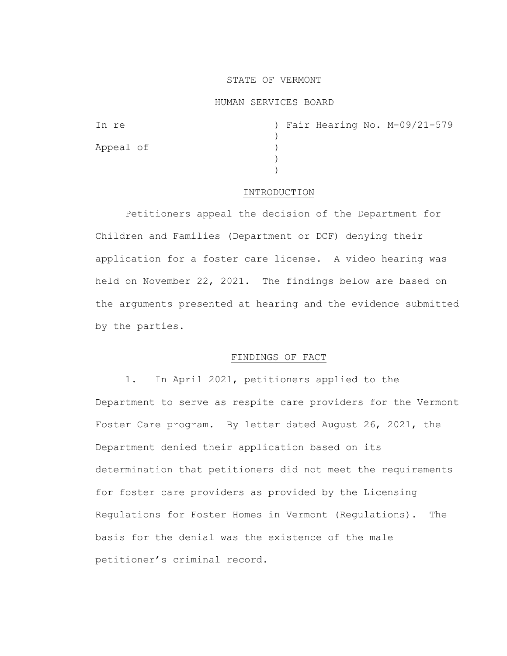# STATE OF VERMONT

#### HUMAN SERVICES BOARD

| In re     |  |  | ) Fair Hearing No. M-09/21-579 |
|-----------|--|--|--------------------------------|
|           |  |  |                                |
| Appeal of |  |  |                                |
|           |  |  |                                |
|           |  |  |                                |

#### INTRODUCTION

Petitioners appeal the decision of the Department for Children and Families (Department or DCF) denying their application for a foster care license. A video hearing was held on November 22, 2021. The findings below are based on the arguments presented at hearing and the evidence submitted by the parties.

# FINDINGS OF FACT

1. In April 2021, petitioners applied to the Department to serve as respite care providers for the Vermont Foster Care program. By letter dated August 26, 2021, the Department denied their application based on its determination that petitioners did not meet the requirements for foster care providers as provided by the Licensing Regulations for Foster Homes in Vermont (Regulations). The basis for the denial was the existence of the male petitioner's criminal record.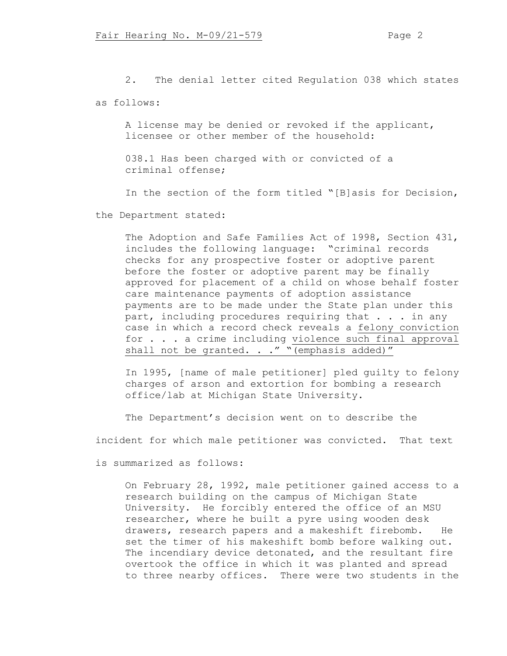2. The denial letter cited Regulation 038 which states as follows:

A license may be denied or revoked if the applicant, licensee or other member of the household:

038.1 Has been charged with or convicted of a criminal offense;

In the section of the form titled "[B]asis for Decision,

the Department stated:

The Adoption and Safe Families Act of 1998, Section 431, includes the following language: "criminal records checks for any prospective foster or adoptive parent before the foster or adoptive parent may be finally approved for placement of a child on whose behalf foster care maintenance payments of adoption assistance payments are to be made under the State plan under this part, including procedures requiring that . . . in any case in which a record check reveals a felony conviction for . . . a crime including violence such final approval shall not be granted.  $\cdot$  ." "(emphasis added)"

In 1995, [name of male petitioner] pled guilty to felony charges of arson and extortion for bombing a research office/lab at Michigan State University.

The Department's decision went on to describe the

incident for which male petitioner was convicted. That text

is summarized as follows:

On February 28, 1992, male petitioner gained access to a research building on the campus of Michigan State University. He forcibly entered the office of an MSU researcher, where he built a pyre using wooden desk drawers, research papers and a makeshift firebomb. He set the timer of his makeshift bomb before walking out. The incendiary device detonated, and the resultant fire overtook the office in which it was planted and spread to three nearby offices. There were two students in the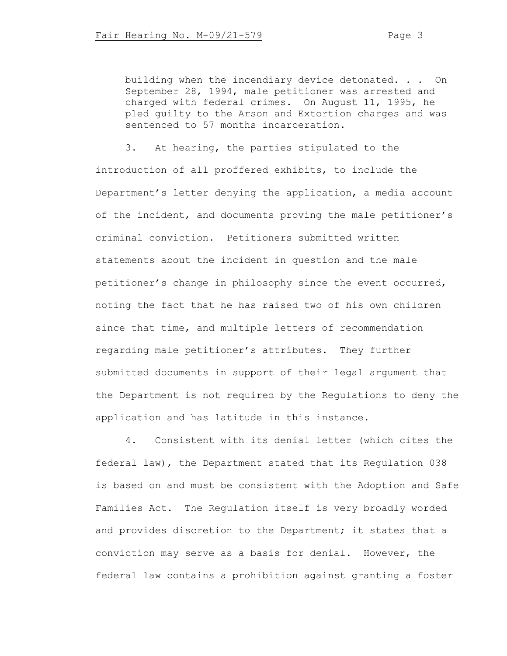building when the incendiary device detonated. . . On September 28, 1994, male petitioner was arrested and charged with federal crimes. On August 11, 1995, he pled guilty to the Arson and Extortion charges and was sentenced to 57 months incarceration.

3. At hearing, the parties stipulated to the introduction of all proffered exhibits, to include the Department's letter denying the application, a media account of the incident, and documents proving the male petitioner's criminal conviction. Petitioners submitted written statements about the incident in question and the male petitioner's change in philosophy since the event occurred, noting the fact that he has raised two of his own children since that time, and multiple letters of recommendation regarding male petitioner's attributes. They further submitted documents in support of their legal argument that the Department is not required by the Regulations to deny the application and has latitude in this instance.

4. Consistent with its denial letter (which cites the federal law), the Department stated that its Regulation 038 is based on and must be consistent with the Adoption and Safe Families Act. The Regulation itself is very broadly worded and provides discretion to the Department; it states that a conviction may serve as a basis for denial. However, the federal law contains a prohibition against granting a foster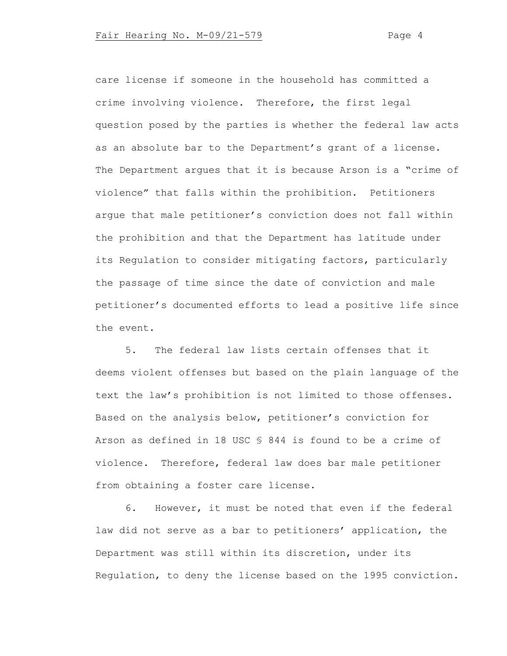care license if someone in the household has committed a crime involving violence. Therefore, the first legal question posed by the parties is whether the federal law acts as an absolute bar to the Department's grant of a license. The Department argues that it is because Arson is a "crime of violence" that falls within the prohibition. Petitioners argue that male petitioner's conviction does not fall within the prohibition and that the Department has latitude under its Regulation to consider mitigating factors, particularly the passage of time since the date of conviction and male petitioner's documented efforts to lead a positive life since the event.

5. The federal law lists certain offenses that it deems violent offenses but based on the plain language of the text the law's prohibition is not limited to those offenses. Based on the analysis below, petitioner's conviction for Arson as defined in 18 USC § 844 is found to be a crime of violence. Therefore, federal law does bar male petitioner from obtaining a foster care license.

6. However, it must be noted that even if the federal law did not serve as a bar to petitioners' application, the Department was still within its discretion, under its Regulation, to deny the license based on the 1995 conviction.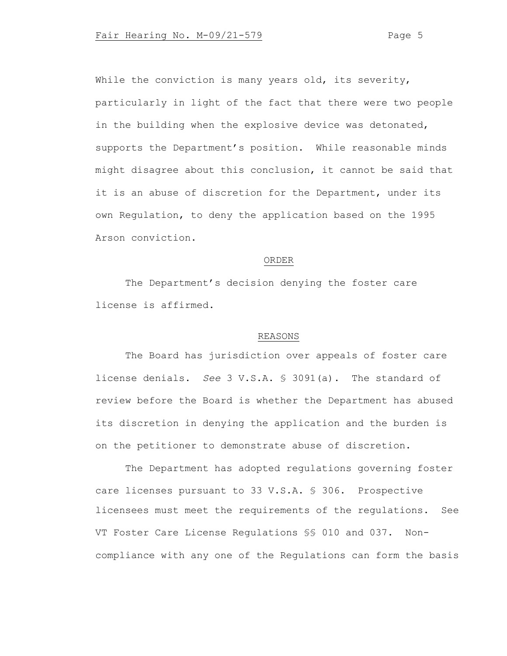While the conviction is many years old, its severity, particularly in light of the fact that there were two people in the building when the explosive device was detonated, supports the Department's position. While reasonable minds might disagree about this conclusion, it cannot be said that it is an abuse of discretion for the Department, under its own Regulation, to deny the application based on the 1995 Arson conviction.

# ORDER

The Department's decision denying the foster care license is affirmed.

#### REASONS

The Board has jurisdiction over appeals of foster care license denials. *See* 3 V.S.A. § 3091(a). The standard of review before the Board is whether the Department has abused its discretion in denying the application and the burden is on the petitioner to demonstrate abuse of discretion.

The Department has adopted regulations governing foster care licenses pursuant to 33 V.S.A. § 306. Prospective licensees must meet the requirements of the regulations. See VT Foster Care License Regulations §§ 010 and 037. Noncompliance with any one of the Regulations can form the basis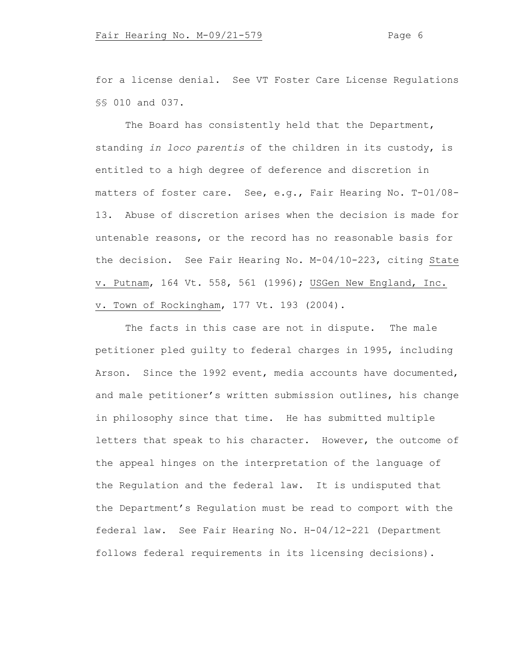for a license denial. See VT Foster Care License Regulations §§ 010 and 037.

The Board has consistently held that the Department, standing *in loco parentis* of the children in its custody, is entitled to a high degree of deference and discretion in matters of foster care. See, e.g., Fair Hearing No. T-01/08- 13. Abuse of discretion arises when the decision is made for untenable reasons, or the record has no reasonable basis for the decision. See Fair Hearing No. M-04/10-223, citing State v. Putnam, 164 Vt. 558, 561 (1996); USGen New England, Inc. v. Town of Rockingham, 177 Vt. 193 (2004).

The facts in this case are not in dispute. The male petitioner pled guilty to federal charges in 1995, including Arson. Since the 1992 event, media accounts have documented, and male petitioner's written submission outlines, his change in philosophy since that time. He has submitted multiple letters that speak to his character. However, the outcome of the appeal hinges on the interpretation of the language of the Regulation and the federal law. It is undisputed that the Department's Regulation must be read to comport with the federal law. See Fair Hearing No. H-04/12-221 (Department follows federal requirements in its licensing decisions).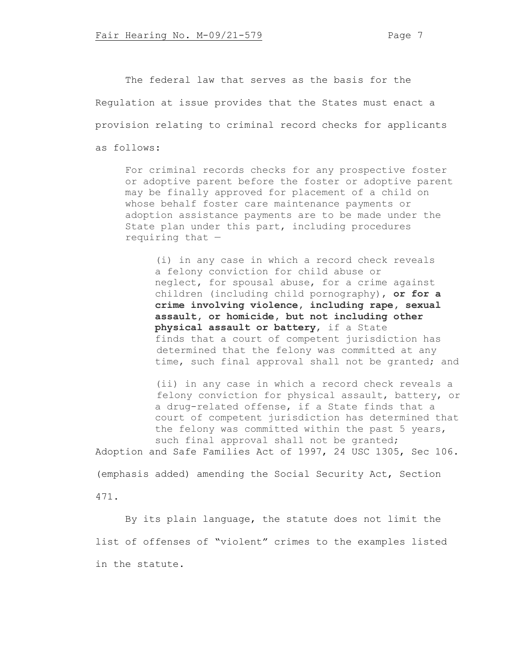The federal law that serves as the basis for the Regulation at issue provides that the States must enact a provision relating to criminal record checks for applicants as follows:

For criminal records checks for any prospective foster or adoptive parent before the foster or adoptive parent may be finally approved for placement of a child on whose behalf foster care maintenance payments or adoption assistance payments are to be made under the State plan under this part, including procedures requiring that  $-$ 

(i) in any case in which a record check reveals a felony conviction for child abuse or neglect, for spousal abuse, for a crime against children (including child pornography), **or for a crime involving violence, including rape, sexual assault, or homicide, but not including other physical assault or battery**, if a State finds that a court of competent jurisdiction has determined that the felony was committed at any time, such final approval shall not be granted; and

(ii) in any case in which a record check reveals a felony conviction for physical assault, battery, or a drug-related offense, if a State finds that a court of competent jurisdiction has determined that the felony was committed within the past 5 years, such final approval shall not be granted;

Adoption and Safe Families Act of 1997, 24 USC 1305, Sec 106. (emphasis added) amending the Social Security Act, Section

471.

By its plain language, the statute does not limit the list of offenses of "violent" crimes to the examples listed in the statute.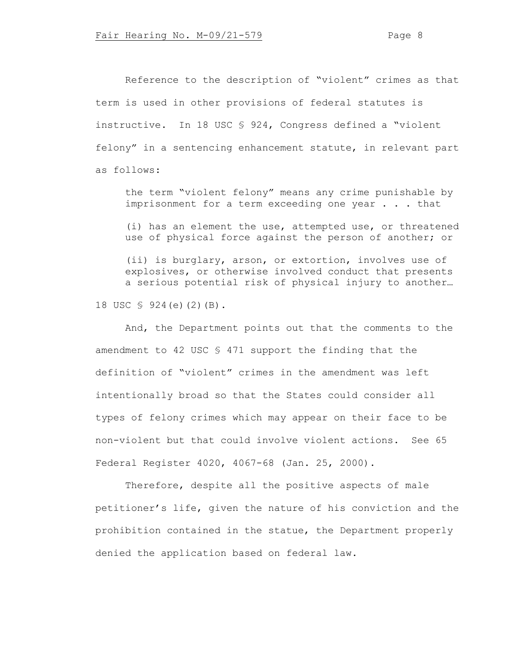Reference to the description of "violent" crimes as that term is used in other provisions of federal statutes is instructive. In 18 USC § 924, Congress defined a "violent felony" in a sentencing enhancement statute, in relevant part as follows:

the term "violent felony" means any crime punishable by imprisonment for a term exceeding one year . . . that

(i) has an element the use, attempted use, or threatened use of physical force against the person of another; or

(ii) is burglary, arson, or extortion, involves use of explosives, or otherwise involved conduct that presents a serious potential risk of physical injury to another…

18 USC § 924(e)(2)(B).

And, the Department points out that the comments to the amendment to 42 USC § 471 support the finding that the definition of "violent" crimes in the amendment was left intentionally broad so that the States could consider all types of felony crimes which may appear on their face to be non-violent but that could involve violent actions. See 65 Federal Register 4020, 4067-68 (Jan. 25, 2000).

Therefore, despite all the positive aspects of male petitioner's life, given the nature of his conviction and the prohibition contained in the statue, the Department properly denied the application based on federal law.